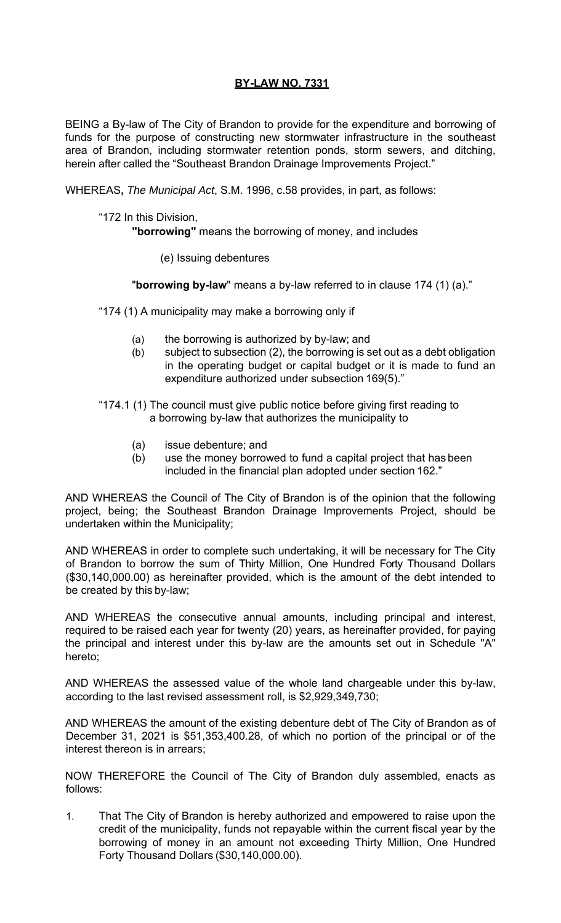## **BY-LAW NO. 7331**

BEING a By-law of The City of Brandon to provide for the expenditure and borrowing of funds for the purpose of constructing new stormwater infrastructure in the southeast area of Brandon, including stormwater retention ponds, storm sewers, and ditching, herein after called the "Southeast Brandon Drainage Improvements Project."

WHEREAS**,** *The Municipal Act*, S.M. 1996, c.58 provides, in part, as follows:

"172 In this Division,

**"borrowing"** means the borrowing of money, and includes

(e) Issuing debentures

"**borrowing by-law**" means a by-law referred to in clause 174 (1) (a)."

"174 (1) A municipality may make a borrowing only if

- (a) the borrowing is authorized by by-law; and
- (b) subject to subsection (2), the borrowing is set out as a debt obligation in the operating budget or capital budget or it is made to fund an expenditure authorized under subsection 169(5)."
- "174.1 (1) The council must give public notice before giving first reading to a borrowing by-law that authorizes the municipality to
	- (a) issue debenture; and
	- (b) use the money borrowed to fund a capital project that has been included in the financial plan adopted under section 162."

AND WHEREAS the Council of The City of Brandon is of the opinion that the following project, being; the Southeast Brandon Drainage Improvements Project, should be undertaken within the Municipality;

AND WHEREAS in order to complete such undertaking, it will be necessary for The City of Brandon to borrow the sum of Thirty Million, One Hundred Forty Thousand Dollars (\$30,140,000.00) as hereinafter provided, which is the amount of the debt intended to be created by this by-law;

AND WHEREAS the consecutive annual amounts, including principal and interest, required to be raised each year for twenty (20) years, as hereinafter provided, for paying the principal and interest under this by-law are the amounts set out in Schedule "A" hereto;

AND WHEREAS the assessed value of the whole land chargeable under this by-law, according to the last revised assessment roll, is \$2,929,349,730;

AND WHEREAS the amount of the existing debenture debt of The City of Brandon as of December 31, 2021 is \$51,353,400.28, of which no portion of the principal or of the interest thereon is in arrears;

NOW THEREFORE the Council of The City of Brandon duly assembled, enacts as follows:

1. That The City of Brandon is hereby authorized and empowered to raise upon the credit of the municipality, funds not repayable within the current fiscal year by the borrowing of money in an amount not exceeding Thirty Million, One Hundred Forty Thousand Dollars (\$30,140,000.00).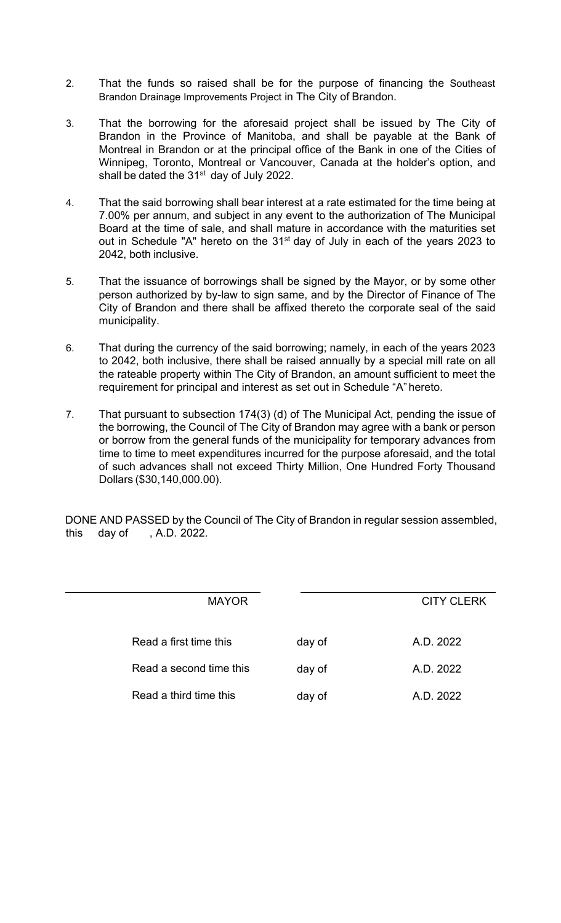- 2. That the funds so raised shall be for the purpose of financing the Southeast Brandon Drainage Improvements Project in The City of Brandon.
- 3. That the borrowing for the aforesaid project shall be issued by The City of Brandon in the Province of Manitoba, and shall be payable at the Bank of Montreal in Brandon or at the principal office of the Bank in one of the Cities of Winnipeg, Toronto, Montreal or Vancouver, Canada at the holder's option, and shall be dated the 31<sup>st</sup> day of July 2022.
- 4. That the said borrowing shall bear interest at a rate estimated for the time being at 7.00% per annum, and subject in any event to the authorization of The Municipal Board at the time of sale, and shall mature in accordance with the maturities set out in Schedule "A" hereto on the 31<sup>st</sup> day of July in each of the years 2023 to 2042, both inclusive.
- 5. That the issuance of borrowings shall be signed by the Mayor, or by some other person authorized by by-law to sign same, and by the Director of Finance of The City of Brandon and there shall be affixed thereto the corporate seal of the said municipality.
- 6. That during the currency of the said borrowing; namely, in each of the years 2023 to 2042, both inclusive, there shall be raised annually by a special mill rate on all the rateable property within The City of Brandon, an amount sufficient to meet the requirement for principal and interest as set out in Schedule "A" hereto.
- 7. That pursuant to subsection 174(3) (d) of The Municipal Act, pending the issue of the borrowing, the Council of The City of Brandon may agree with a bank or person or borrow from the general funds of the municipality for temporary advances from time to time to meet expenditures incurred for the purpose aforesaid, and the total of such advances shall not exceed Thirty Million, One Hundred Forty Thousand Dollars (\$30,140,000.00).

DONE AND PASSED by the Council of The City of Brandon in regular session assembled, this day of , A.D. 2022.

l

| <b>MAYOR</b>            |        | <b>CITY CLERK</b> |
|-------------------------|--------|-------------------|
|                         |        |                   |
| Read a first time this  | day of | A.D. 2022         |
| Read a second time this | day of | A.D. 2022         |
| Read a third time this  | day of | A.D. 2022         |